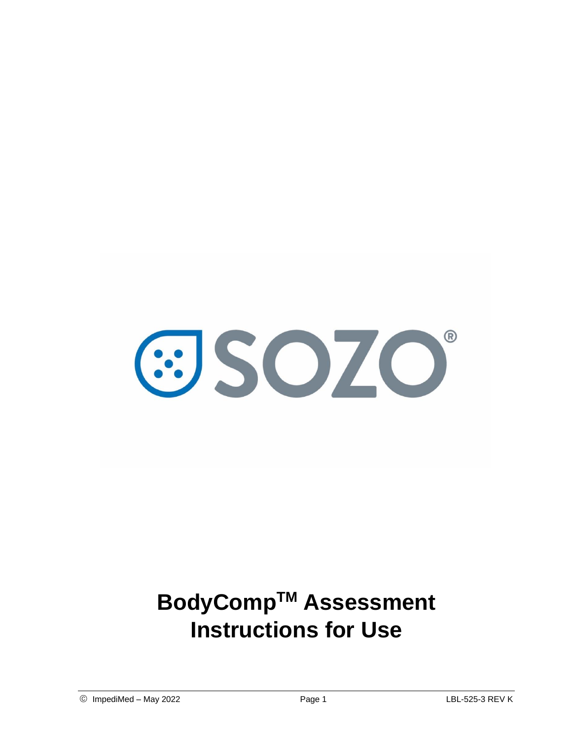

# **BodyCompTM Assessment Instructions for Use**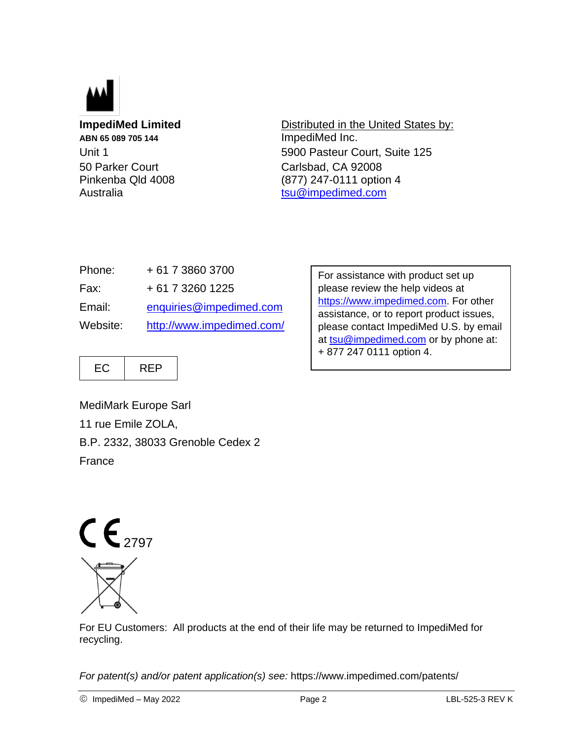

**ABN 65 089 705 144** ImpediMed Inc. 50 Parker Court Carlsbad, CA 92008

**ImpediMed Limited** Distributed in the United States by: Unit 1 5900 Pasteur Court, Suite 125 Pinkenba Qld 4008 (877) 247-0111 option 4 Australia [tsu@impedimed.com](mailto:tsu@impedimed.com)

| Phone:   | + 61 7 3860 3700          |
|----------|---------------------------|
| Fax:     | + 61 7 3260 1225          |
| Email:   | enquiries@impedimed.com   |
| Website: | http://www.impedimed.com/ |

For assistance with product set up please review the help videos at [https://www.impedimed.com.](https://www.impedimed.com/) For other assistance, or to report product issues, please contact ImpediMed U.S. by email at [tsu@impedimed.com](mailto:tsu@impedimed.com) or by phone at: + 877 247 0111 option 4.

 $EC$  | REP

MediMark Europe Sarl 11 rue Emile ZOLA, B.P. 2332, 38033 Grenoble Cedex 2 France



For EU Customers: All products at the end of their life may be returned to ImpediMed for recycling.

*For patent(s) and/or patent application(s) see:* https://www.impedimed.com/patents/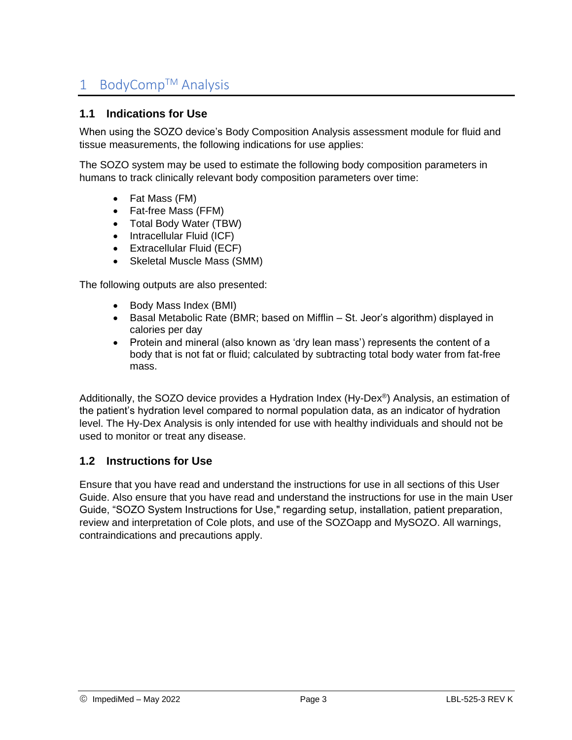## 1 BodyComp™ Analysis

#### **1.1 Indications for Use**

When using the SOZO device's Body Composition Analysis assessment module for fluid and tissue measurements, the following indications for use applies:

The SOZO system may be used to estimate the following body composition parameters in humans to track clinically relevant body composition parameters over time:

- Fat Mass (FM)
- Fat-free Mass (FFM)
- Total Body Water (TBW)
- Intracellular Fluid (ICF)
- Extracellular Fluid (ECF)
- Skeletal Muscle Mass (SMM)

The following outputs are also presented:

- Body Mass Index (BMI)
- Basal Metabolic Rate (BMR; based on Mifflin St. Jeor's algorithm) displayed in calories per day
- Protein and mineral (also known as 'dry lean mass') represents the content of a body that is not fat or fluid; calculated by subtracting total body water from fat-free mass.

Additionally, the SOZO device provides a Hydration Index (Hy-Dex®) Analysis, an estimation of the patient's hydration level compared to normal population data, as an indicator of hydration level. The Hy-Dex Analysis is only intended for use with healthy individuals and should not be used to monitor or treat any disease.

#### **1.2 Instructions for Use**

Ensure that you have read and understand the instructions for use in all sections of this User Guide. Also ensure that you have read and understand the instructions for use in the main User Guide, "SOZO System Instructions for Use," regarding setup, installation, patient preparation, review and interpretation of Cole plots, and use of the SOZOapp and MySOZO. All warnings, contraindications and precautions apply.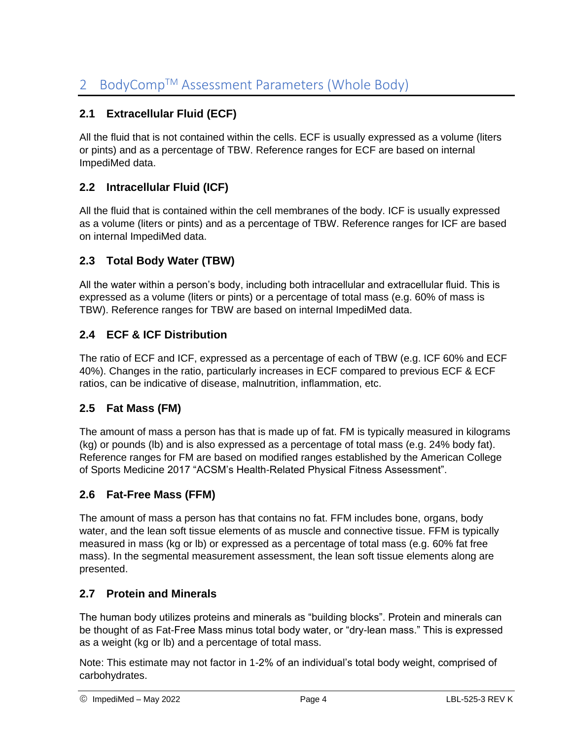### **2.1 Extracellular Fluid (ECF)**

All the fluid that is not contained within the cells. ECF is usually expressed as a volume (liters or pints) and as a percentage of TBW. Reference ranges for ECF are based on internal ImpediMed data.

#### **2.2 Intracellular Fluid (ICF)**

All the fluid that is contained within the cell membranes of the body. ICF is usually expressed as a volume (liters or pints) and as a percentage of TBW. Reference ranges for ICF are based on internal ImpediMed data.

#### **2.3 Total Body Water (TBW)**

All the water within a person's body, including both intracellular and extracellular fluid. This is expressed as a volume (liters or pints) or a percentage of total mass (e.g. 60% of mass is TBW). Reference ranges for TBW are based on internal ImpediMed data.

#### **2.4 ECF & ICF Distribution**

The ratio of ECF and ICF, expressed as a percentage of each of TBW (e.g. ICF 60% and ECF 40%). Changes in the ratio, particularly increases in ECF compared to previous ECF & ECF ratios, can be indicative of disease, malnutrition, inflammation, etc.

#### **2.5 Fat Mass (FM)**

The amount of mass a person has that is made up of fat. FM is typically measured in kilograms (kg) or pounds (lb) and is also expressed as a percentage of total mass (e.g. 24% body fat). Reference ranges for FM are based on modified ranges established by the American College of Sports Medicine 2017 "ACSM's Health-Related Physical Fitness Assessment".

#### **2.6 Fat-Free Mass (FFM)**

The amount of mass a person has that contains no fat. FFM includes bone, organs, body water, and the lean soft tissue elements of as muscle and connective tissue. FFM is typically measured in mass (kg or lb) or expressed as a percentage of total mass (e.g. 60% fat free mass). In the segmental measurement assessment, the lean soft tissue elements along are presented.

#### **2.7 Protein and Minerals**

The human body utilizes proteins and minerals as "building blocks". Protein and minerals can be thought of as Fat-Free Mass minus total body water, or "dry-lean mass." This is expressed as a weight (kg or lb) and a percentage of total mass.

Note: This estimate may not factor in 1-2% of an individual's total body weight, comprised of carbohydrates.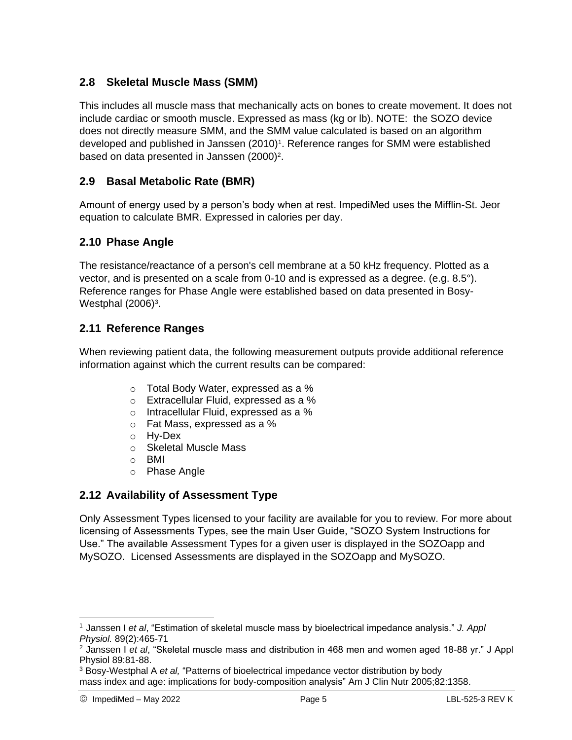#### **2.8 Skeletal Muscle Mass (SMM)**

This includes all muscle mass that mechanically acts on bones to create movement. It does not include cardiac or smooth muscle. Expressed as mass (kg or lb). NOTE: the SOZO device does not directly measure SMM, and the SMM value calculated is based on an algorithm developed and published in Janssen (2010)<sup>1</sup>. Reference ranges for SMM were established based on data presented in Janssen (2000)<sup>2</sup>.

#### **2.9 Basal Metabolic Rate (BMR)**

Amount of energy used by a person's body when at rest. ImpediMed uses the Mifflin-St. Jeor equation to calculate BMR. Expressed in calories per day.

#### **2.10 Phase Angle**

The resistance/reactance of a person's cell membrane at a 50 kHz frequency. Plotted as a vector, and is presented on a scale from 0-10 and is expressed as a degree. (e.g. 8.5°). Reference ranges for Phase Angle were established based on data presented in Bosy-Westphal (2006)<sup>3</sup>.

#### **2.11 Reference Ranges**

When reviewing patient data, the following measurement outputs provide additional reference information against which the current results can be compared:

- o Total Body Water, expressed as a %
- o Extracellular Fluid, expressed as a %
- o Intracellular Fluid, expressed as a %
- o Fat Mass, expressed as a %
- o Hy-Dex
- o Skeletal Muscle Mass
- o BMI
- o Phase Angle

#### **2.12 Availability of Assessment Type**

Only Assessment Types licensed to your facility are available for you to review. For more about licensing of Assessments Types, see the main User Guide, "SOZO System Instructions for Use." The available Assessment Types for a given user is displayed in the SOZOapp and MySOZO. Licensed Assessments are displayed in the SOZOapp and MySOZO.

 $\overline{a}$ 

<sup>1</sup> Janssen I *et al*, "Estimation of skeletal muscle mass by bioelectrical impedance analysis." *J. Appl Physiol.* 89(2):465-71

<sup>2</sup> Janssen I *et al*, "Skeletal muscle mass and distribution in 468 men and women aged 18-88 yr." J Appl Physiol 89:81-88.

<sup>3</sup> Bosy-Westphal A *et al,* "Patterns of bioelectrical impedance vector distribution by body mass index and age: implications for body-composition analysis" Am J Clin Nutr 2005;82:1358.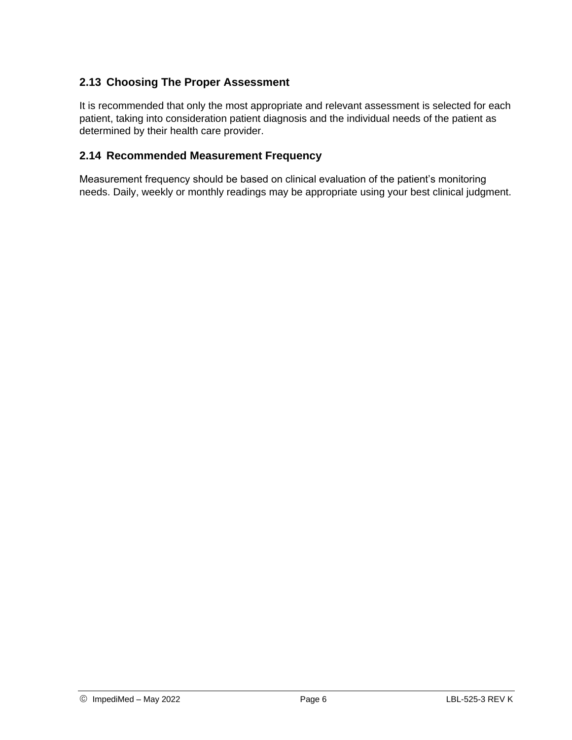#### **2.13 Choosing The Proper Assessment**

It is recommended that only the most appropriate and relevant assessment is selected for each patient, taking into consideration patient diagnosis and the individual needs of the patient as determined by their health care provider.

#### **2.14 Recommended Measurement Frequency**

Measurement frequency should be based on clinical evaluation of the patient's monitoring needs. Daily, weekly or monthly readings may be appropriate using your best clinical judgment.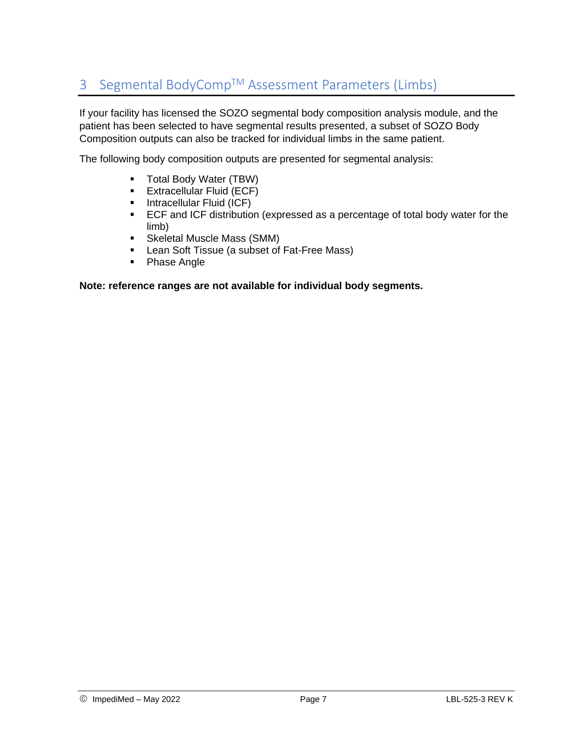# 3 Segmental BodyComp™ Assessment Parameters (Limbs)

If your facility has licensed the SOZO segmental body composition analysis module, and the patient has been selected to have segmental results presented, a subset of SOZO Body Composition outputs can also be tracked for individual limbs in the same patient.

The following body composition outputs are presented for segmental analysis:

- **Total Body Water (TBW)**
- **Extracellular Fluid (ECF)**
- **Intracellular Fluid (ICF)**
- ECF and ICF distribution (expressed as a percentage of total body water for the limb)
- **Skeletal Muscle Mass (SMM)**
- **EXEC** Lean Soft Tissue (a subset of Fat-Free Mass)
- Phase Angle

#### **Note: reference ranges are not available for individual body segments.**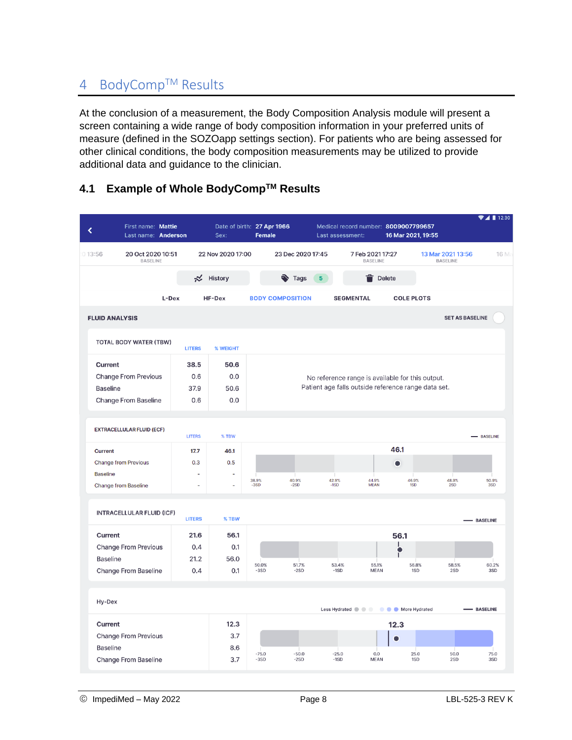## 4 BodyComp™ Results

At the conclusion of a measurement, the Body Composition Analysis module will present a screen containing a wide range of body composition information in your preferred units of measure (defined in the SOZOapp settings section). For patients who are being assessed for other clinical conditions, the body composition measurements may be utilized to provide additional data and guidance to the clinician.

|  |  |  | 4.1 Example of Whole BodyComp™ Results |  |
|--|--|--|----------------------------------------|--|
|--|--|--|----------------------------------------|--|

| First name: Mattie<br>Last name: Anderson      |               | Sex:              | Date of birth: 27 Apr 1966<br><b>Female</b> |                     | Medical record number: 8009007799657<br>Last assessment:                      | 16 Mar 2021, 19:55 |                                      | $\blacktriangledown$ 1 12:30 |
|------------------------------------------------|---------------|-------------------|---------------------------------------------|---------------------|-------------------------------------------------------------------------------|--------------------|--------------------------------------|------------------------------|
| 20 Oct 2020 10:51<br>013:56<br><b>BASELINE</b> |               | 22 Nov 2020 17:00 |                                             | 23 Dec 2020 17:45   | 7 Feb 2021 17:27<br><b>BASELINE</b>                                           |                    | 13 Mar 2021 13:56<br><b>BASELINE</b> | 16 Ma                        |
|                                                |               | ₩ History         |                                             | $\bullet$ Tags<br>5 |                                                                               | <b>Delete</b>      |                                      |                              |
|                                                | L-Dex         | HF-Dex            | <b>BODY COMPOSITION</b>                     |                     | <b>SEGMENTAL</b>                                                              | <b>COLE PLOTS</b>  |                                      |                              |
| <b>FLUID ANALYSIS</b>                          |               |                   |                                             |                     |                                                                               |                    | <b>SET AS BASELINE</b>               |                              |
| <b>TOTAL BODY WATER (TBW)</b>                  | <b>LITERS</b> | % WEIGHT          |                                             |                     |                                                                               |                    |                                      |                              |
| Current                                        | 38.5          | 50.6              |                                             |                     |                                                                               |                    |                                      |                              |
| <b>Change From Previous</b>                    | 0.6           | 0.0               |                                             |                     | No reference range is available for this output.                              |                    |                                      |                              |
| <b>Baseline</b>                                | 37.9          | 50.6              |                                             |                     | Patient age falls outside reference range data set.                           |                    |                                      |                              |
| <b>Change From Baseline</b>                    | 0.6           | 0.0               |                                             |                     |                                                                               |                    |                                      |                              |
| <b>EXTRACELLULAR FLUID (ECF)</b>               | <b>LITERS</b> | % TBW             |                                             |                     |                                                                               |                    |                                      | - BASELINE                   |
| <b>Current</b>                                 | 17.7          | 46.1              |                                             |                     |                                                                               | 46.1               |                                      |                              |
| <b>Change from Previous</b>                    | 0.3           | 0.5               |                                             |                     |                                                                               | ۰                  |                                      |                              |
| <b>Baseline</b>                                |               | ä,                |                                             |                     |                                                                               |                    |                                      |                              |
| <b>Change from Baseline</b>                    | L,            | L,                | 38.9%<br>$-3SD$                             | 40.9%<br>$-2SD$     | 42.9%<br>44.9%<br>$-1SD$<br><b>MEAN</b>                                       | 46.9%<br>1SD       | 48.9%<br>2SD                         | 50.9%<br>3SD                 |
| <b>INTRACELLULAR FLUID (ICF)</b>               | <b>LITERS</b> | % TBW             |                                             |                     |                                                                               |                    |                                      |                              |
| Current                                        | 21.6          | 56.1              |                                             |                     |                                                                               | 56.1               |                                      | - BASELINE                   |
| <b>Change From Previous</b>                    | 0.4           | 0.1               |                                             |                     |                                                                               | 1                  |                                      |                              |
| <b>Baseline</b>                                | 21.2          | 56.0              |                                             |                     |                                                                               |                    |                                      |                              |
| <b>Change From Baseline</b>                    | 0.4           | 0.1               | 50.0%<br>$-3SD$                             | 51.7%<br>$-2SD$     | 53.4%<br>55.1%<br>$-1SD$<br><b>MEAN</b>                                       | 56.8%<br>1SD       | 58.5%<br>2SD                         | 60.2%<br>3SD                 |
| Hy-Dex                                         |               |                   |                                             |                     |                                                                               |                    |                                      |                              |
|                                                |               |                   |                                             |                     | Less Hydrated $\bullet$ $\bullet$ $\bullet$ $\bullet$ $\bullet$ More Hydrated |                    |                                      | - BASELINE                   |
| Current                                        |               | 12.3              |                                             |                     |                                                                               | 12.3               |                                      |                              |
| <b>Change From Previous</b>                    |               | 3.7               |                                             |                     |                                                                               |                    |                                      |                              |
| <b>Baseline</b>                                |               | 8.6               | $-75.0$                                     | $-50.0$             | $-25.0$<br>0.0                                                                | 25.0               | 50.0                                 | 75.0                         |
| <b>Change From Baseline</b>                    |               | 3.7               | $-3SD$                                      | $-2SD$              | $-1SD$<br><b>MEAN</b>                                                         | 1SD                | 2SD                                  | 3SD                          |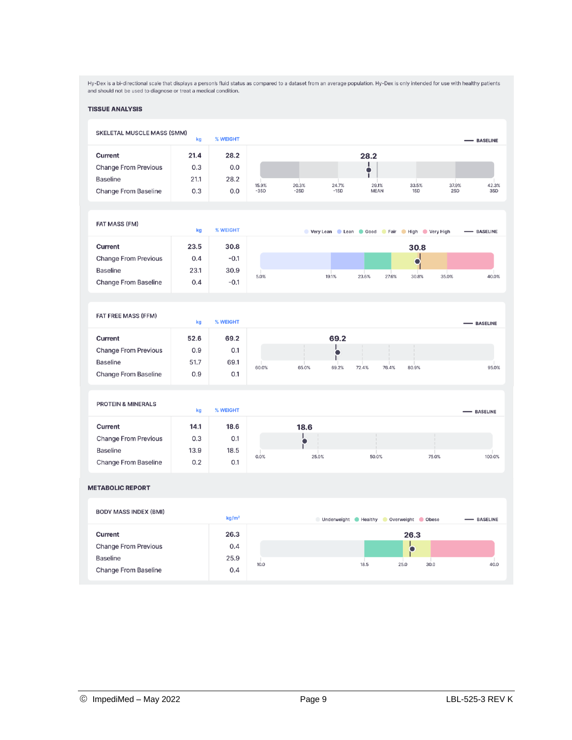Hy-Dex is a bi-directional scale that displays a person's fluid status as compared to a dataset from an average population. Hy-Dex is only intended for use with healthy patients<br>and should not be used to diagnose or treat

#### **TISSUE ANALYSIS**

| <b>SKELETAL MUSCLE MASS (SMM)</b> | kg   | % WEIGHT          |        |        |        |                      |                                         |       | - BASELINE      |
|-----------------------------------|------|-------------------|--------|--------|--------|----------------------|-----------------------------------------|-------|-----------------|
| <b>Current</b>                    | 21.4 | 28.2              |        |        |        | 28.2                 |                                         |       |                 |
| <b>Change From Previous</b>       | 0.3  | 0.0               |        |        |        | Ι.<br>$\bullet$      |                                         |       |                 |
| <b>Baseline</b>                   | 21.1 | 28.2              | 15.9%  | 20.3%  | 24.7%  | ī                    |                                         | 37.9% | 42.3%           |
| Change From Baseline              | 0.3  | 0.0               | $-3SD$ | $-2SD$ | $-1SD$ | 29.1%<br><b>MEAN</b> | 33.5%<br>1SD                            | 2SD   | 3SD             |
| <b>FAT MASS (FM)</b>              | kg   | % WEIGHT          |        |        |        |                      | Very Lean Lean Good Fair High Very High |       | - BASELINE      |
| Current                           | 23.5 | 30.8              |        |        |        |                      | 30.8                                    |       |                 |
| <b>Change From Previous</b>       | 0.4  | $-0.1$            |        |        |        |                      | $\blacksquare$                          |       |                 |
| <b>Baseline</b>                   | 23.1 | 30.9              |        |        |        |                      |                                         |       |                 |
| Change From Baseline              | 0.4  | $-0.1$            | 5.0%   |        | 19.1%  | 23.6%<br>27.6%       | 30.8%                                   | 35.0% | 40.0%           |
|                                   |      |                   |        |        |        |                      |                                         |       |                 |
| FAT FREE MASS (FFM)               | kg   | % WEIGHT          |        |        |        |                      |                                         |       | - BASELINE      |
| Current                           | 52.6 | 69.2              |        |        | 69.2   |                      |                                         |       |                 |
| <b>Change From Previous</b>       | 0.9  | 0.1               |        |        |        |                      |                                         |       |                 |
| <b>Baseline</b>                   | 51.7 | 69.1              | 60.0%  | 65.0%  | 69.2%  | 76.4%<br>72.4%       | 80.9%                                   |       | 95.0%           |
| <b>Change From Baseline</b>       | 0.9  | 0.1               |        |        |        |                      |                                         |       |                 |
| <b>PROTEIN &amp; MINERALS</b>     | kg   | % WEIGHT          |        |        |        |                      |                                         |       | - BASELINE      |
| Current                           | 14.1 | 18.6              |        |        |        |                      |                                         |       |                 |
| <b>Change From Previous</b>       | 0.3  | 0.1               |        | 18.6   |        |                      |                                         |       |                 |
| <b>Baseline</b>                   | 13.9 | 18.5              |        |        |        |                      |                                         |       |                 |
| Change From Baseline              | 0.2  | 0.1               | 0.0%   | 25.0%  |        | 50.0%                |                                         | 75.0% | 100.0%          |
| <b>METABOLIC REPORT</b>           |      |                   |        |        |        |                      |                                         |       |                 |
| <b>BODY MASS INDEX (BMI)</b>      |      | kg/m <sup>2</sup> |        |        |        |                      | Underweight Healthy Overweight Obese    |       | <b>BASELINE</b> |
| <b>Current</b>                    |      | 26.3              |        |        |        |                      | 26.3                                    |       |                 |
| <b>Change From Previous</b>       |      | 0.4               |        |        |        |                      | О                                       |       |                 |
| <b>Baseline</b>                   |      | 25.9              |        |        |        |                      |                                         |       |                 |
|                                   |      |                   | 10.0   |        |        | 18.5                 | 25.0<br>30.0                            |       | 40.0            |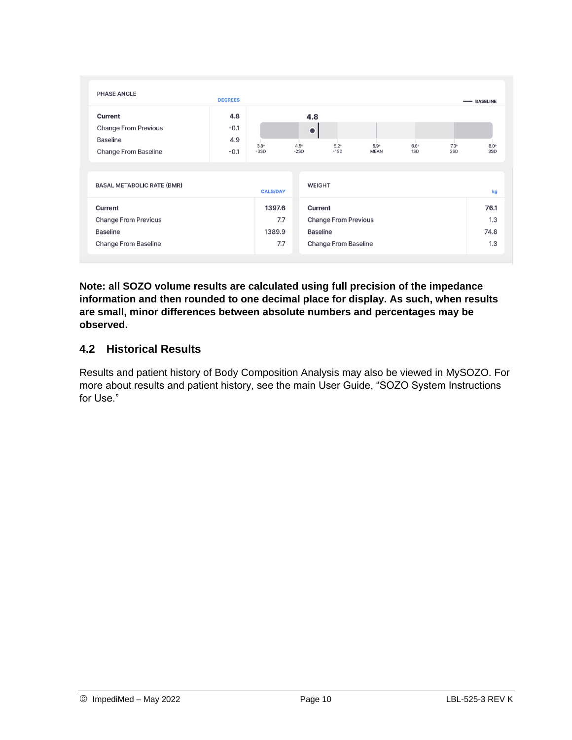| <b>PHASE ANGLE</b>                                                                | <b>DEGREES</b>                 |                                |                                     |                                                                               |                     |                    |                    | - BASELINE                 |
|-----------------------------------------------------------------------------------|--------------------------------|--------------------------------|-------------------------------------|-------------------------------------------------------------------------------|---------------------|--------------------|--------------------|----------------------------|
| Current<br><b>Change From Previous</b><br>Baseline<br><b>Change From Baseline</b> | 4.8<br>$-0.1$<br>4.9<br>$-0.1$ | $3.8^\circ$<br>$-3SD$          | 4.8<br>۰<br>$4.5^{\circ}$<br>$-2SD$ | $5.2^\circ$<br>$-1SD$                                                         | 5.9°<br><b>MEAN</b> | $6.6^\circ$<br>1SD | $7.3^\circ$<br>2SD | $8.0^\circ$<br>3SD         |
| <b>BASAL METABOLIC RATE (BMR)</b>                                                 |                                | <b>CALS/DAY</b>                | <b>WEIGHT</b>                       |                                                                               |                     |                    |                    | kg                         |
| Current<br><b>Change From Previous</b><br>Baseline<br>Change From Baseline        |                                | 1397.6<br>7.7<br>1389.9<br>7.7 | Current                             | <b>Change From Previous</b><br><b>Baseline</b><br><b>Change From Baseline</b> |                     |                    |                    | 76.1<br>1.3<br>74.8<br>1.3 |

**Note: all SOZO volume results are calculated using full precision of the impedance information and then rounded to one decimal place for display. As such, when results are small, minor differences between absolute numbers and percentages may be observed.**

#### **4.2 Historical Results**

Results and patient history of Body Composition Analysis may also be viewed in MySOZO. For more about results and patient history, see the main User Guide, "SOZO System Instructions for Use."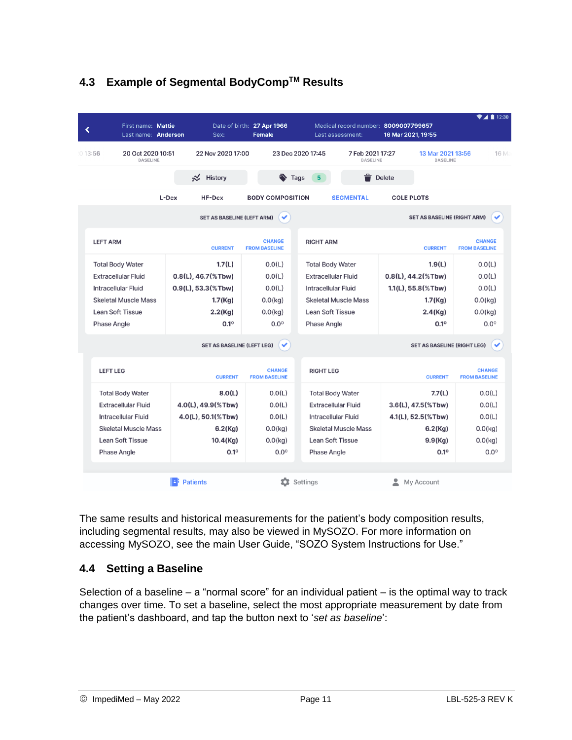|                            |                                      | Last name: Anderson | Sex:                              | Date of birth: 27 Apr 1966<br><b>Female</b> |                            | Last assessment:                    | Medical record number: 8009007799657<br>16 Mar 2021, 19:55 |                                       |
|----------------------------|--------------------------------------|---------------------|-----------------------------------|---------------------------------------------|----------------------------|-------------------------------------|------------------------------------------------------------|---------------------------------------|
| 013:56                     | 20 Oct 2020 10:51<br><b>BASELINE</b> |                     | 22 Nov 2020 17:00                 |                                             | 23 Dec 2020 17:45          | 7 Feb 2021 17:27<br><b>BASELINE</b> | 13 Mar 2021 13:56<br><b>BASELINE</b>                       | 16 Ma                                 |
|                            |                                      |                     | $\precsim$ History                |                                             | $\bullet$ Tags<br>5        |                                     | Delete                                                     |                                       |
|                            |                                      | L-Dex               | HF-Dex                            | <b>BODY COMPOSITION</b>                     |                            | <b>SEGMENTAL</b>                    | <b>COLE PLOTS</b>                                          |                                       |
|                            |                                      |                     | <b>SET AS BASELINE (LEFT ARM)</b> | ✓                                           |                            |                                     | <b>SET AS BASELINE (RIGHT ARM)</b>                         | ✓                                     |
| <b>LEFT ARM</b>            |                                      |                     | <b>CURRENT</b>                    | <b>CHANGE</b><br><b>FROM BASELINE</b>       | <b>RIGHT ARM</b>           |                                     | <b>CURRENT</b>                                             | <b>CHANGE</b><br><b>FROM BASELINE</b> |
| <b>Total Body Water</b>    |                                      |                     | 1.7(L)                            | 0.0(L)                                      | <b>Total Body Water</b>    |                                     | 1.9(L)                                                     | 0.0(L)                                |
| <b>Extracellular Fluid</b> |                                      |                     | $0.8(L)$ , 46.7(%Tbw)             | 0.0(L)                                      | <b>Extracellular Fluid</b> |                                     | $0.8(L)$ , 44.2 $(\%$ Tbw)                                 | 0.0(L)                                |
| <b>Intracellular Fluid</b> |                                      |                     | $0.9(L)$ , 53.3(%Tbw)             | 0.0(L)                                      | <b>Intracellular Fluid</b> |                                     | $1.1(L)$ , 55.8(%Tbw)                                      | 0.0(L)                                |
|                            | <b>Skeletal Muscle Mass</b>          |                     | 1.7(Kg)                           | $0.0$ (kg)                                  |                            | <b>Skeletal Muscle Mass</b>         | 1.7(Kg)                                                    | $0.0$ (kg)                            |
| <b>Lean Soft Tissue</b>    |                                      |                     | $2.2$ (Kg)                        | 0.0(kq)                                     | <b>Lean Soft Tissue</b>    |                                     | 2.4(Kg)                                                    | 0.0(kq)                               |
| <b>Phase Angle</b>         |                                      |                     | $0.1^\circ$                       | $0.0^\circ$                                 | <b>Phase Angle</b>         |                                     | 0.1°                                                       | $0.0^\circ$                           |
|                            |                                      |                     | <b>SET AS BASELINE (LEFT LEG)</b> | ✓                                           |                            |                                     | <b>SET AS BASELINE (RIGHT LEG)</b>                         |                                       |
| <b>LEFT LEG</b>            |                                      |                     | <b>CURRENT</b>                    | <b>CHANGE</b><br><b>FROM BASELINE</b>       | <b>RIGHT LEG</b>           |                                     | <b>CURRENT</b>                                             | <b>CHANGE</b><br><b>FROM BASELINE</b> |
|                            | <b>Total Body Water</b>              |                     | 8.0(L)                            | 0.0(L)                                      |                            | <b>Total Body Water</b>             | 7.7(L)                                                     | 0.0(L)                                |
|                            | <b>Extracellular Fluid</b>           |                     | 4.0(L), 49.9(%Tbw)                | 0.0(L)                                      |                            | <b>Extracellular Fluid</b>          | $3.6(L)$ , $47.5$ (%Tbw)                                   | 0.0(L)                                |
|                            | Intracellular Fluid                  |                     | 4.0(L), 50.1(%Tbw)                | 0.0(L)                                      |                            | Intracellular Fluid                 | 4.1(L), 52.5(%Tbw)                                         | 0.0(L)                                |
|                            | <b>Skeletal Muscle Mass</b>          |                     | 6.2(Kg)                           | 0.0(kq)                                     |                            | <b>Skeletal Muscle Mass</b>         | 6.2(Kg)                                                    | $0.0$ (kg)                            |
|                            | <b>Lean Soft Tissue</b>              |                     | 10.4(Kg)                          | $0.0$ (kg)                                  |                            | <b>Lean Soft Tissue</b>             | 9.9(Kg)                                                    | $0.0$ (kg)                            |
| <b>Phase Angle</b>         |                                      |                     | $0.1^\circ$                       | $0.0^\circ$                                 | <b>Phase Angle</b>         |                                     | $0.1^\circ$                                                | $0.0^\circ$                           |
|                            |                                      |                     | <b>Patients</b>                   | n                                           | Settings                   |                                     | ۰<br>My Account                                            |                                       |

## **4.3 Example of Segmental BodyCompTM Results**

The same results and historical measurements for the patient's body composition results, including segmental results, may also be viewed in MySOZO. For more information on accessing MySOZO, see the main User Guide, "SOZO System Instructions for Use."

#### **4.4 Setting a Baseline**

Selection of a baseline  $-$  a "normal score" for an individual patient  $-$  is the optimal way to track changes over time. To set a baseline, select the most appropriate measurement by date from the patient's dashboard, and tap the button next to '*set as baseline*':